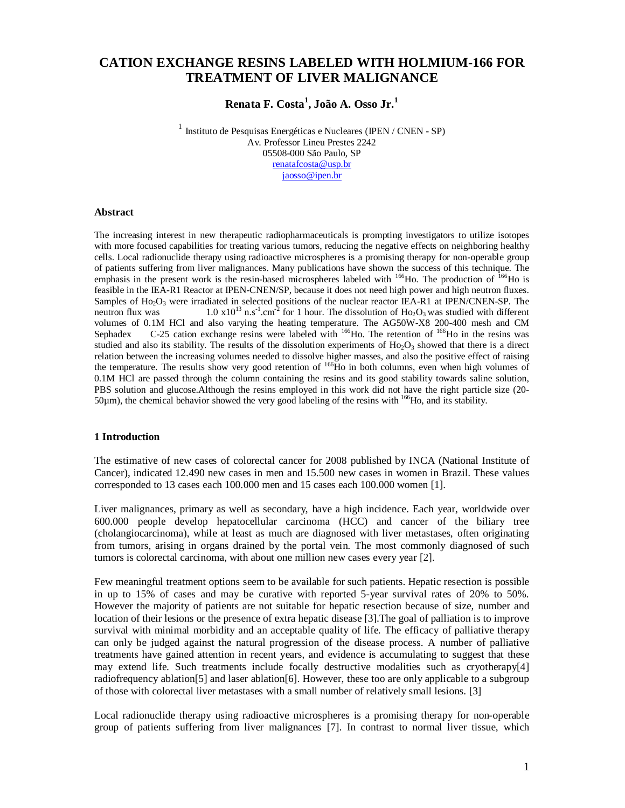# **CATION EXCHANGE RESINS LABELED WITH HOLMIUM-166 FOR TREATMENT OF LIVER MALIGNANCE**

# **Renata F. Costa<sup>1</sup> , João A. Osso Jr.<sup>1</sup>**

 $1$ Instituto de Pesquisas Energéticas e Nucleares (IPEN / CNEN - SP) Av. Professor Lineu Prestes 2242 05508-000 São Paulo, SP renatafcosta@usp.br jaosso@ipen.br

#### **Abstract**

The increasing interest in new therapeutic radiopharmaceuticals is prompting investigators to utilize isotopes with more focused capabilities for treating various tumors, reducing the negative effects on neighboring healthy cells. Local radionuclide therapy using radioactive microspheres is a promising therapy for non-operable group of patients suffering from liver malignances. Many publications have shown the success of this technique. The emphasis in the present work is the resin-based microspheres labeled with <sup>166</sup>Ho. The production of <sup>166</sup>Ho is feasible in the IEA-R1 Reactor at IPEN-CNEN/SP, because it does not need high power and high neutron fluxes. Samples of  $Ho<sub>2</sub>O<sub>3</sub>$  were irradiated in selected positions of the nuclear reactor IEA-R1 at IPEN/CNEN-SP. The neutron flux was  $1.0 \times 10^{13}$  n.s<sup>-1</sup>.cm<sup>-2</sup> for 1 hour. The dissolution of Ho<sub>2</sub>O<sub>3</sub> was studied with different volumes of 0.1M HCl and also varying the heating temperature. The AG50W-X8 200-400 mesh and CM Sephadex  $C-25$  cation exchange resins were labeled with  $^{166}$ Ho. The retention of  $^{166}$ Ho in the resins was studied and also its stability. The results of the dissolution experiments of  $Ho_2O_3$  showed that there is a direct relation between the increasing volumes needed to dissolve higher masses, and also the positive effect of raising the temperature. The results show very good retention of <sup>166</sup>H<sub>o</sub> in both columns, even when high volumes of 0.1M HCl are passed through the column containing the resins and its good stability towards saline solution, PBS solution and glucose.Although the resins employed in this work did not have the right particle size (20- 50µm), the chemical behavior showed the very good labeling of the resins with 166Ho, and its stability.

#### **1 Introduction**

The estimative of new cases of colorectal cancer for 2008 published by INCA (National Institute of Cancer), indicated 12.490 new cases in men and 15.500 new cases in women in Brazil. These values corresponded to 13 cases each 100.000 men and 15 cases each 100.000 women [1].

Liver malignances, primary as well as secondary, have a high incidence. Each year, worldwide over 600.000 people develop hepatocellular carcinoma (HCC) and cancer of the biliary tree (cholangiocarcinoma), while at least as much are diagnosed with liver metastases, often originating from tumors, arising in organs drained by the portal vein. The most commonly diagnosed of such tumors is colorectal carcinoma, with about one million new cases every year [2].

Few meaningful treatment options seem to be available for such patients. Hepatic resection is possible in up to 15% of cases and may be curative with reported 5-year survival rates of 20% to 50%. However the majority of patients are not suitable for hepatic resection because of size, number and location of their lesions or the presence of extra hepatic disease [3].The goal of palliation is to improve survival with minimal morbidity and an acceptable quality of life. The efficacy of palliative therapy can only be judged against the natural progression of the disease process. A number of palliative treatments have gained attention in recent years, and evidence is accumulating to suggest that these may extend life. Such treatments include focally destructive modalities such as cryotherapy[4] radiofrequency ablation[5] and laser ablation[6]. However, these too are only applicable to a subgroup of those with colorectal liver metastases with a small number of relatively small lesions. [3]

Local radionuclide therapy using radioactive microspheres is a promising therapy for non-operable group of patients suffering from liver malignances [7]. In contrast to normal liver tissue, which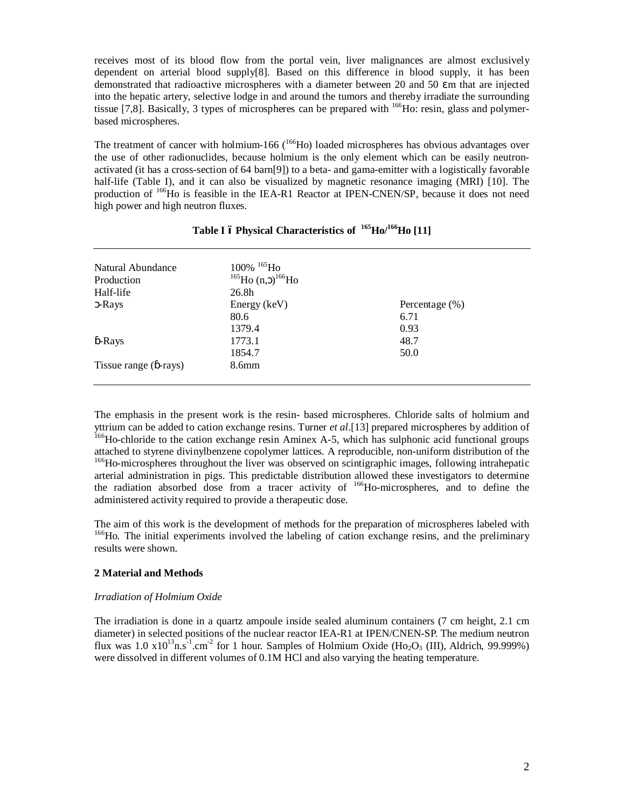receives most of its blood flow from the portal vein, liver malignances are almost exclusively dependent on arterial blood supply[8]. Based on this difference in blood supply, it has been demonstrated that radioactive microspheres with a diameter between 20 and 50 m that are injected into the hepatic artery, selective lodge in and around the tumors and thereby irradiate the surrounding tissue [7,8]. Basically, 3 types of microspheres can be prepared with <sup>166</sup>Ho: resin, glass and polymerbased microspheres.

The treatment of cancer with holmium-166  $(^{166}$ Ho) loaded microspheres has obvious advantages over the use of other radionuclides, because holmium is the only element which can be easily neutronactivated (it has a cross-section of 64 barn[9]) to a beta- and gama-emitter with a logistically favorable half-life (Table I), and it can also be visualized by magnetic resonance imaging (MRI) [10]. The production of <sup>166</sup>Ho is feasible in the IEA-R1 Reactor at IPEN-CNEN/SP, because it does not need high power and high neutron fluxes.

| Natural Abundance    | $100\%$ <sup>165</sup> Ho         |                    |  |
|----------------------|-----------------------------------|--------------------|--|
| Production           | <sup>165</sup> Ho (n, $1^{66}$ Ho |                    |  |
| Half-life            | 26.8h                             |                    |  |
| -Rays                | Energy (keV)                      | Percentage $(\% )$ |  |
|                      | 80.6                              | 6.71               |  |
|                      | 1379.4                            | 0.93               |  |
| -Rays                | 1773.1                            | 48.7               |  |
|                      | 1854.7                            | 50.0               |  |
| Tissue range (-rays) | 8.6 <sub>mm</sub>                 |                    |  |

# **Table I – Physical Characteristics of 165Ho/166Ho [11]**

The emphasis in the present work is the resin- based microspheres. Chloride salts of holmium and yttrium can be added to cation exchange resins. Turner *et al*.[13] prepared microspheres by addition of <sup>166</sup>Ho-chloride to the cation exchange resin Aminex A-5, which has sulphonic acid functional groups attached to styrene divinylbenzene copolymer lattices. A reproducible, non-uniform distribution of the <sup>166</sup>Ho-microspheres throughout the liver was observed on scintigraphic images, following intrahepatic arterial administration in pigs. This predictable distribution allowed these investigators to determine the radiation absorbed dose from a tracer activity of 166Ho-microspheres, and to define the administered activity required to provide a therapeutic dose.

The aim of this work is the development of methods for the preparation of microspheres labeled with <sup>166</sup>Ho. The initial experiments involved the labeling of cation exchange resins, and the preliminary results were shown.

#### **2 Material and Methods**

#### *Irradiation of Holmium Oxide*

The irradiation is done in a quartz ampoule inside sealed aluminum containers (7 cm height, 2.1 cm diameter) in selected positions of the nuclear reactor IEA-R1 at IPEN/CNEN-SP. The medium neutron flux was  $1.0 \times 10^{13}$ n.s<sup>-1</sup>.cm<sup>-2</sup> for 1 hour. Samples of Holmium Oxide (Ho<sub>2</sub>O<sub>3</sub> (III), Aldrich, 99.999%) were dissolved in different volumes of 0.1M HCl and also varying the heating temperature.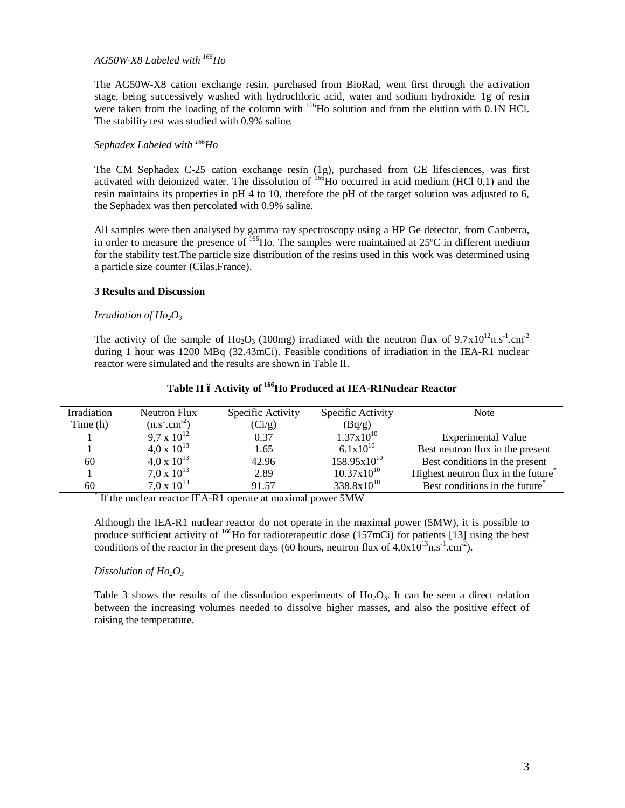## *AG50W-X8 Labeled with 166Ho*

The AG50W-X8 cation exchange resin, purchased from BioRad, went first through the activation stage, being successively washed with hydrochloric acid, water and sodium hydroxide. 1g of resin were taken from the loading of the column with <sup>166</sup>Ho solution and from the elution with 0.1N HCl. The stability test was studied with 0.9% saline.

## *Sephadex Labeled with 166Ho*

The CM Sephadex C-25 cation exchange resin (1g), purchased from GE lifesciences, was first activated with deionized water. The dissolution of <sup>166</sup>Ho occurred in acid medium (HCl 0,1) and the resin maintains its properties in pH 4 to 10, therefore the pH of the target solution was adjusted to 6, the Sephadex was then percolated with 0.9% saline.

All samples were then analysed by gamma ray spectroscopy using a HP Ge detector, from Canberra, in order to measure the presence of <sup>166</sup>Ho. The samples were maintained at 25<sup>o</sup>C in different medium for the stability test.The particle size distribution of the resins used in this work was determined using a particle size counter (Cilas,France).

#### **3 Results and Discussion**

#### *Irradiation of Ho2O3*

The activity of the sample of Ho<sub>2</sub>O<sub>3</sub> (100mg) irradiated with the neutron flux of  $9.7 \times 10^{12}$ n.s<sup>-1</sup>.cm<sup>-2</sup> during 1 hour was 1200 MBq (32.43mCi). Feasible conditions of irradiation in the IEA-R1 nuclear reactor were simulated and the results are shown in Table II.

# **Table II – Activity of 166Ho Produced at IEA-R1Nuclear Reactor**

| Irradiation | Neutron Flux         | Specific Activity | Specific Activity      | <b>Note</b>                                     |
|-------------|----------------------|-------------------|------------------------|-------------------------------------------------|
| Time(h)     | $(n.s1.cm-2)$        | (Ci/g)            | (Bq/g)                 |                                                 |
|             | $9.7 \times 10^{12}$ | 0.37              | $1.37 \times 10^{10}$  | <b>Experimental Value</b>                       |
|             | $4.0 \times 10^{13}$ | 1.65              | $6.1x10^{10}$          | Best neutron flux in the present                |
| 60          | $4.0 \times 10^{13}$ | 42.96             | $158.95x10^{10}$       | Best conditions in the present                  |
|             | $7.0 \times 10^{13}$ | 2.89              | $10.37x10^{10}$        | Highest neutron flux in the future <sup>*</sup> |
| 60          | $7.0 \times 10^{13}$ | 91.57             | $338.8 \times 10^{10}$ | Best conditions in the future <sup>®</sup>      |

\* If the nuclear reactor IEA-R1 operate at maximal power 5MW

Although the IEA-R1 nuclear reactor do not operate in the maximal power (5MW), it is possible to produce sufficient activity of <sup>166</sup>Ho for radioterapeutic dose (157mCi) for patients [13] using the best conditions of the reactor in the present days (60 hours, neutron flux of  $4,0x10^{13}$ n.s<sup>-1</sup>.cm<sup>-2</sup>).

#### *Dissolution of Ho2O3*

Table 3 shows the results of the dissolution experiments of  $Ho<sub>2</sub>O<sub>3</sub>$ . It can be seen a direct relation between the increasing volumes needed to dissolve higher masses, and also the positive effect of raising the temperature.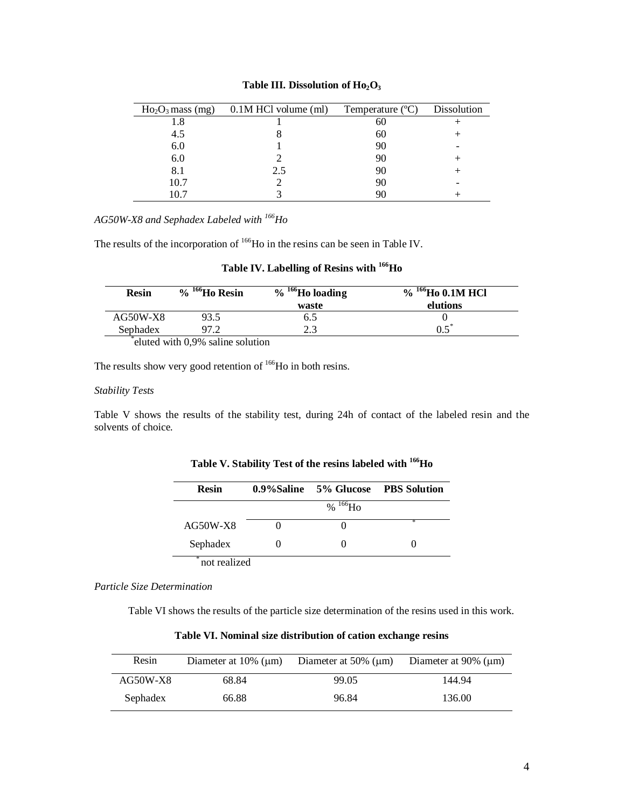| $Ho2O3$ mass (mg) | 0.1M HCl volume (ml) | Temperature (°C) | Dissolution |
|-------------------|----------------------|------------------|-------------|
| 1.8               |                      | 60               |             |
| 4.5               |                      | 60               |             |
| 6.0               |                      | 90               |             |
| 6.0               |                      | 90               |             |
| 8.1               | 2.5                  | 90               |             |
| 10.7              |                      | 90               |             |
|                   |                      |                  |             |

# Table III. Dissolution of  $Ho<sub>2</sub>O<sub>3</sub>$

*AG50W-X8 and Sephadex Labeled with 166Ho*

The results of the incorporation of <sup>166</sup>Ho in the resins can be seen in Table IV.

|  | Table IV. Labelling of Resins with <sup>166</sup> Ho |  |  |  |
|--|------------------------------------------------------|--|--|--|
|--|------------------------------------------------------|--|--|--|

| <b>Resin</b> | <sup>166</sup> Ho Resin<br>$\frac{0}{0}$ | $166$ Ho loading<br>$\frac{0}{0}$ | , $^{166}\mathrm{Ho}$ 0.1M HCl<br>$\frac{1}{2}$ |
|--------------|------------------------------------------|-----------------------------------|-------------------------------------------------|
|              |                                          | waste                             | elutions                                        |
| $AG50W-X8$   | 93.5                                     | 6.J                               |                                                 |
| Sephadex     |                                          | 2.3                               |                                                 |
|              | eluted with 0,9% saline solution         |                                   |                                                 |

The results show very good retention of <sup>166</sup>Ho in both resins.

#### *Stability Tests*

Table V shows the results of the stability test, during 24h of contact of the labeled resin and the solvents of choice.

| <b>Resin</b> |               | 0.9%Saline 5% Glucose PBS Solution |
|--------------|---------------|------------------------------------|
|              | % $^{166}$ Ho |                                    |
| $AG50W-X8$   |               | ж                                  |
| Sephadex     |               |                                    |

**Table V. Stability Test of the resins labeled with 166Ho**

*Particle Size Determination*

Table VI shows the results of the particle size determination of the resins used in this work.

**Table VI. Nominal size distribution of cation exchange resins**

| Resin      | Diameter at $10\%$ ( $\mu$ m) | Diameter at $50\%$ ( $\mu$ m) | Diameter at $90\%$ ( $\mu$ m) |
|------------|-------------------------------|-------------------------------|-------------------------------|
| $AG50W-X8$ | 68.84                         | 99.05                         | 144.94                        |
| Sephadex   | 66.88                         | 96.84                         | 136.00                        |